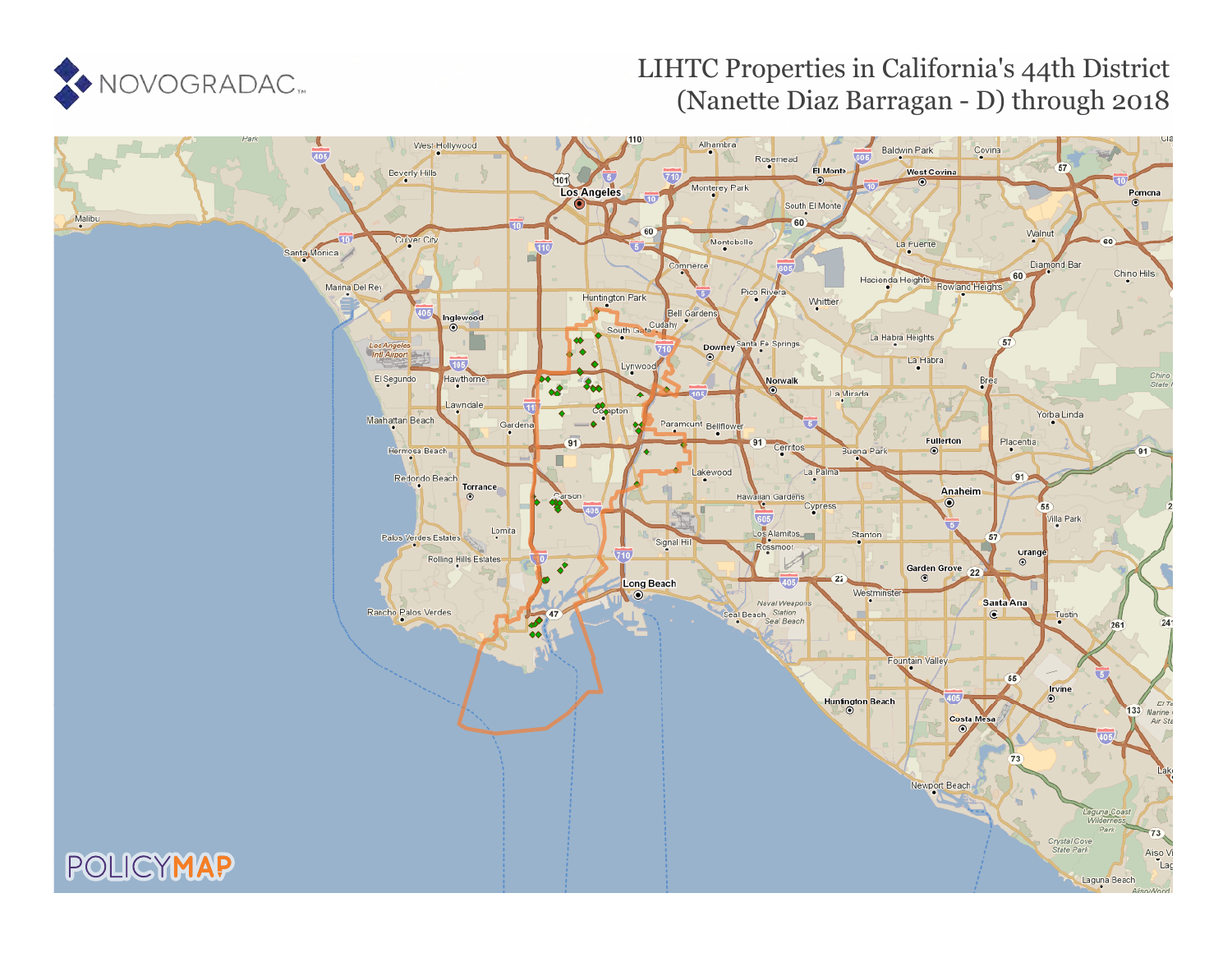

# LIHTC Properties in California's 44th District (Nanette Diaz Barragan - D) through 2018

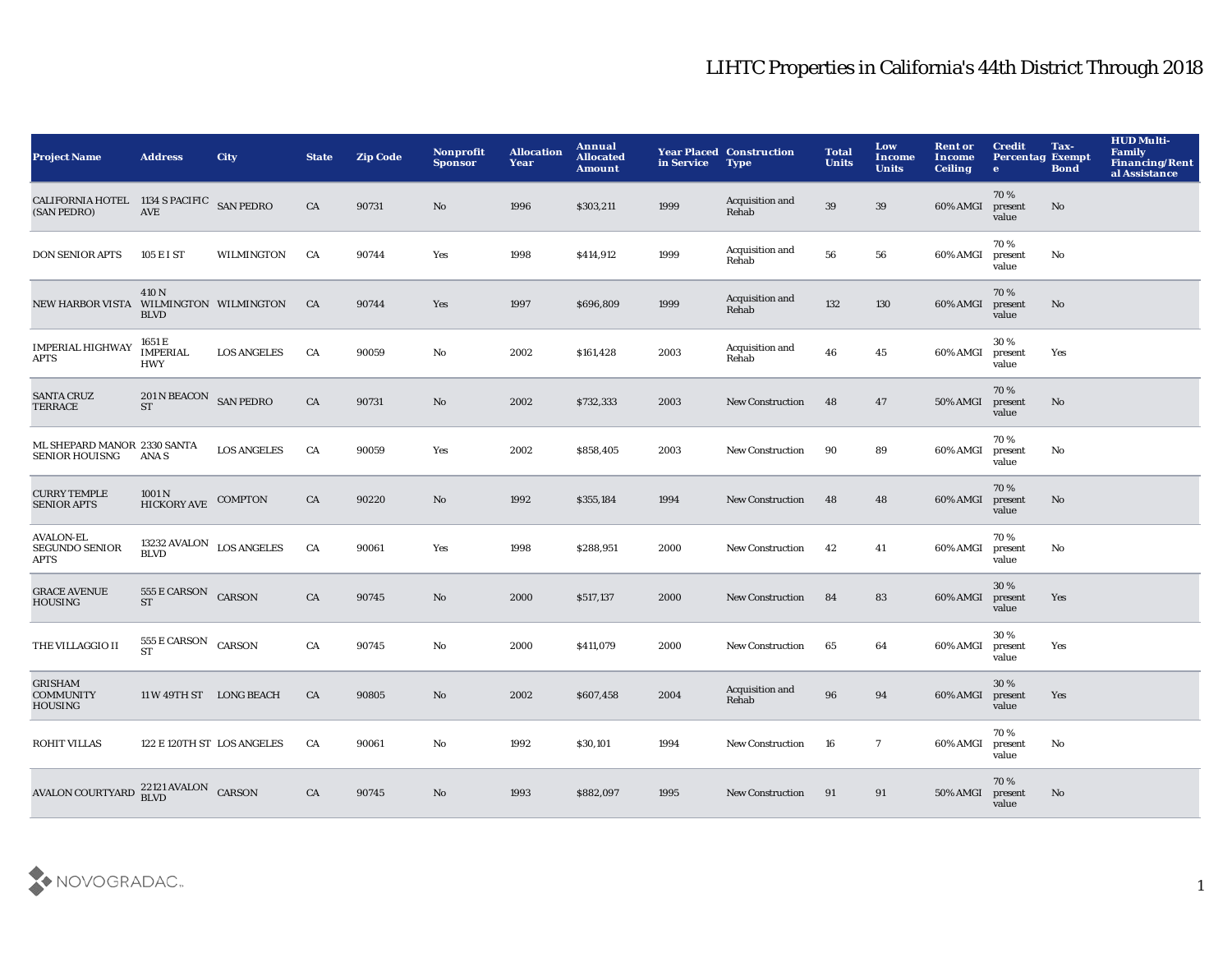| <b>Project Name</b>                                      | <b>Address</b>                                    | <b>City</b>        | <b>State</b> | <b>Zip Code</b> | Nonprofit<br><b>Sponsor</b> | <b>Allocation</b><br>Year | <b>Annual</b><br><b>Allocated</b><br><b>Amount</b> | in Service | <b>Year Placed Construction</b><br><b>Type</b> | <b>Total</b><br><b>Units</b> | Low<br>Income<br><b>Units</b> | <b>Rent or</b><br>Income<br><b>Ceiling</b> | <b>Credit</b><br><b>Percentag Exempt</b><br>$\bullet$ | Tax-<br><b>Bond</b> | <b>HUD Multi-</b><br><b>Family</b><br><b>Financing/Rent</b><br>al Assistance |
|----------------------------------------------------------|---------------------------------------------------|--------------------|--------------|-----------------|-----------------------------|---------------------------|----------------------------------------------------|------------|------------------------------------------------|------------------------------|-------------------------------|--------------------------------------------|-------------------------------------------------------|---------------------|------------------------------------------------------------------------------|
| CALIFORNIA HOTEL 1134 S PACIFIC SAN PEDRO<br>(SAN PEDRO) | <b>AVE</b>                                        |                    | CA           | 90731           | No.                         | 1996                      | \$303,211                                          | 1999       | Acquisition and<br>Rehab                       | 39                           | 39                            | 60% AMGI                                   | 70%<br>present<br>value                               | No                  |                                                                              |
| <b>DON SENIOR APTS</b>                                   | 105 E I ST                                        | WILMINGTON         | CA           | 90744           | Yes                         | 1998                      | \$414,912                                          | 1999       | Acquisition and<br>Rehab                       | 56                           | 56                            | 60% AMGI                                   | 70%<br>present<br>value                               | No                  |                                                                              |
| <b>NEW HARBOR VISTA</b>                                  | 410 N<br>WILMINGTON WILMINGTON<br><b>BLVD</b>     |                    | CA           | 90744           | Yes                         | 1997                      | \$696,809                                          | 1999       | Acquisition and<br>Rehab                       | 132                          | 130                           | 60% AMGI                                   | 70%<br>present<br>value                               | No                  |                                                                              |
| <b>IMPERIAL HIGHWAY</b><br><b>APTS</b>                   | 1651 E<br><b>IMPERIAL</b><br><b>HWY</b>           | <b>LOS ANGELES</b> | CA           | 90059           | No                          | 2002                      | \$161,428                                          | 2003       | Acquisition and<br>Rehab                       | 46                           | 45                            | 60% AMGI                                   | 30%<br>present<br>value                               | Yes                 |                                                                              |
| <b>SANTA CRUZ</b><br><b>TERRACE</b>                      | 201 N BEACON SAN PEDRO<br><b>ST</b>               |                    | ${\rm CA}$   | 90731           | $\rm No$                    | 2002                      | \$732,333                                          | 2003       | <b>New Construction</b>                        | 48                           | 47                            | 50% AMGI                                   | 70%<br>present<br>value                               | No                  |                                                                              |
| ML SHEPARD MANOR 2330 SANTA<br><b>SENIOR HOUISNG</b>     | ANA S                                             | <b>LOS ANGELES</b> | CA           | 90059           | Yes                         | 2002                      | \$858,405                                          | 2003       | <b>New Construction</b>                        | 90                           | 89                            | 60% AMGI                                   | 70%<br>present<br>value                               | No                  |                                                                              |
| <b>CURRY TEMPLE</b><br><b>SENIOR APTS</b>                | 1001 <sub>N</sub><br><b>HICKORY AVE</b>           | <b>COMPTON</b>     | CA           | 90220           | $\mathbf{N}\mathbf{o}$      | 1992                      | \$355,184                                          | 1994       | <b>New Construction</b>                        | 48                           | 48                            | 60% AMGI                                   | 70%<br>present<br>value                               | $\mathbf{No}$       |                                                                              |
| <b>AVALON-EL</b><br>SEGUNDO SENIOR<br><b>APTS</b>        | 13232 AVALON $_{\rm LOS\ ANGELES}$<br><b>BLVD</b> |                    | CA           | 90061           | Yes                         | 1998                      | \$288,951                                          | 2000       | <b>New Construction</b>                        | 42                           | 41                            | 60% AMGI                                   | 70 %<br>present<br>value                              | No                  |                                                                              |
| <b>GRACE AVENUE</b><br><b>HOUSING</b>                    | 555 E CARSON CARSON<br><b>ST</b>                  |                    | CA           | 90745           | No                          | 2000                      | \$517,137                                          | 2000       | <b>New Construction</b>                        | 84                           | 83                            | 60% AMGI                                   | 30%<br>present<br>value                               | Yes                 |                                                                              |
| THE VILLAGGIO II                                         | $555\,\mathrm{E}$ CARSON<br><b>ST</b>             | CARSON             | CA           | 90745           | No                          | 2000                      | \$411,079                                          | 2000       | <b>New Construction</b>                        | 65                           | 64                            | 60% AMGI                                   | 30%<br>present<br>value                               | Yes                 |                                                                              |
| <b>GRISHAM</b><br><b>COMMUNITY</b><br><b>HOUSING</b>     | 11 W 49TH ST LONG BEACH                           |                    | CA           | 90805           | No                          | 2002                      | \$607,458                                          | 2004       | Acquisition and<br>Rehab                       | 96                           | 94                            | 60% AMGI                                   | 30 %<br>present<br>value                              | Yes                 |                                                                              |
| <b>ROHIT VILLAS</b>                                      | 122 E 120TH ST LOS ANGELES                        |                    | CA           | 90061           | No                          | 1992                      | \$30,101                                           | 1994       | New Construction                               | 16                           | $\overline{7}$                | 60% AMGI                                   | 70%<br>present<br>value                               | No                  |                                                                              |
| <b>AVALON COURTYARD</b>                                  | 22121 AVALON CARSON<br><b>BLVD</b>                |                    | CA           | 90745           | No                          | 1993                      | \$882,097                                          | 1995       | <b>New Construction</b>                        | 91                           | 91                            | 50% AMGI                                   | 70%<br>present<br>value                               | No                  |                                                                              |

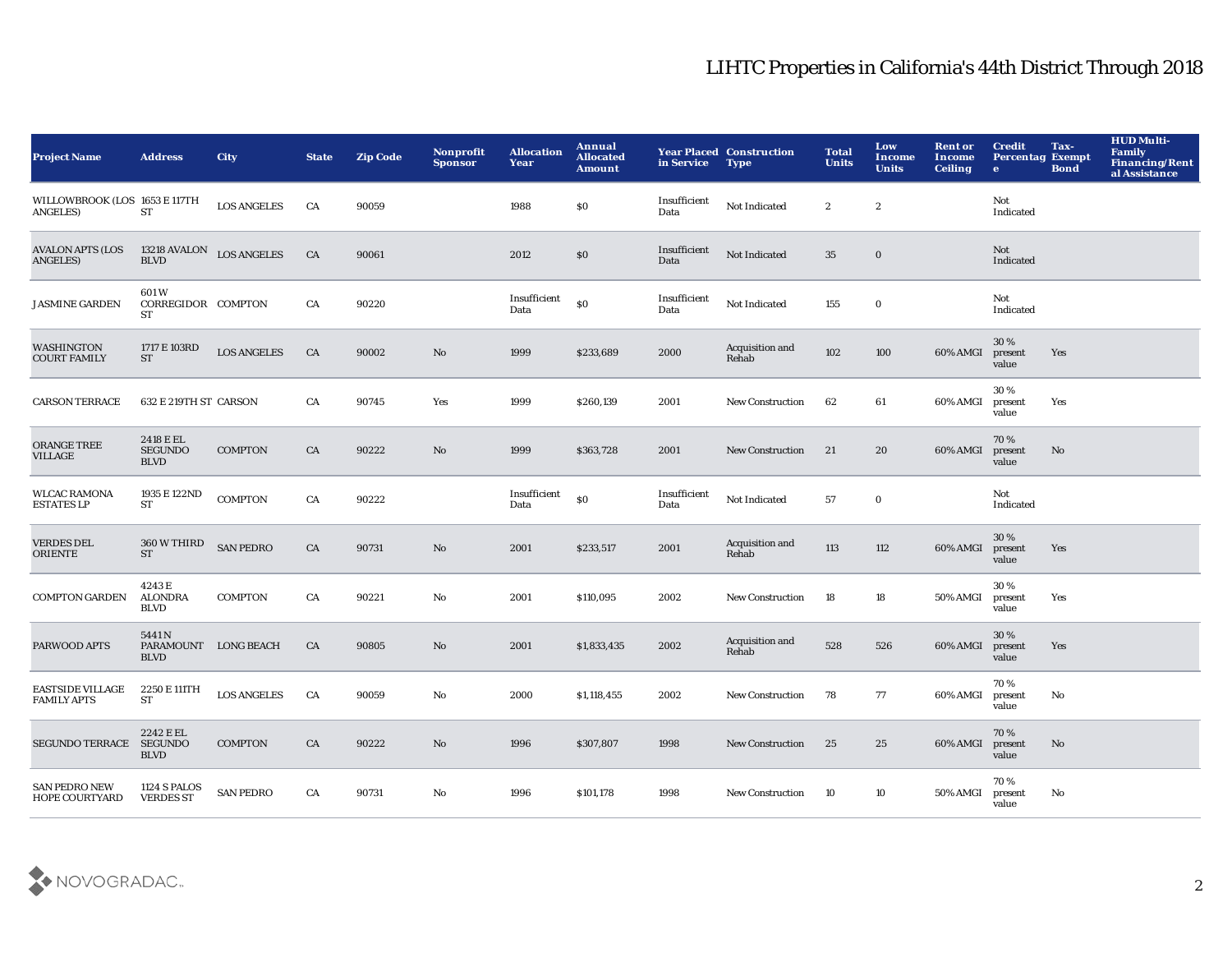| <b>Project Name</b>                              | <b>Address</b>                               | <b>City</b>        | <b>State</b> | <b>Zip Code</b> | <b>Nonprofit</b><br><b>Sponsor</b> | <b>Allocation</b><br>Year | Annual<br><b>Allocated</b><br><b>Amount</b> | in Service           | <b>Year Placed Construction</b><br><b>Type</b> | <b>Total</b><br><b>Units</b> | Low<br><b>Income</b><br><b>Units</b> | <b>Rent or</b><br>Income<br><b>Ceiling</b> | <b>Credit</b><br><b>Percentag Exempt</b><br>$\bullet$ | Tax-<br><b>Bond</b> | <b>HUD Multi-</b><br><b>Family</b><br><b>Financing/Rent</b><br>al Assistance |
|--------------------------------------------------|----------------------------------------------|--------------------|--------------|-----------------|------------------------------------|---------------------------|---------------------------------------------|----------------------|------------------------------------------------|------------------------------|--------------------------------------|--------------------------------------------|-------------------------------------------------------|---------------------|------------------------------------------------------------------------------|
| WILLOWBROOK (LOS 1653 E 117TH<br><b>ANGELES)</b> | <b>ST</b>                                    | <b>LOS ANGELES</b> | CA           | 90059           |                                    | 1988                      | \$0                                         | Insufficient<br>Data | Not Indicated                                  | $\boldsymbol{2}$             | $\boldsymbol{2}$                     |                                            | Not<br>Indicated                                      |                     |                                                                              |
| <b>AVALON APTS (LOS</b><br>ANGELES)              | 13218 AVALON LOS ANGELES<br><b>BLVD</b>      |                    | CA           | 90061           |                                    | 2012                      | \$0                                         | Insufficient<br>Data | Not Indicated                                  | 35                           | $\bf{0}$                             |                                            | Not<br>Indicated                                      |                     |                                                                              |
| <b>JASMINE GARDEN</b>                            | 601W<br>CORREGIDOR COMPTON<br>ST             |                    | CA           | 90220           |                                    | Insufficient<br>Data      | \$0                                         | Insufficient<br>Data | Not Indicated                                  | 155                          | $\mathbf 0$                          |                                            | Not<br>$\label{lem:indicated} \textbf{Indicated}$     |                     |                                                                              |
| <b>WASHINGTON</b><br><b>COURT FAMILY</b>         | 1717 E 103RD<br><b>ST</b>                    | <b>LOS ANGELES</b> | CA           | 90002           | $\mathbf{No}$                      | 1999                      | \$233,689                                   | 2000                 | Acquisition and<br>Rehab                       | 102                          | 100                                  | 60% AMGI                                   | 30 %<br>present<br>value                              | Yes                 |                                                                              |
| <b>CARSON TERRACE</b>                            | 632 E 219TH ST CARSON                        |                    | CA           | 90745           | Yes                                | 1999                      | \$260,139                                   | 2001                 | <b>New Construction</b>                        | 62                           | 61                                   | 60% AMGI                                   | 30%<br>present<br>value                               | Yes                 |                                                                              |
| ORANGE TREE<br><b>VILLAGE</b>                    | 2418 E EL<br><b>SEGUNDO</b><br><b>BLVD</b>   | <b>COMPTON</b>     | CA           | 90222           | No                                 | 1999                      | \$363,728                                   | 2001                 | <b>New Construction</b>                        | 21                           | 20                                   | 60% AMGI                                   | 70%<br>present<br>value                               | No.                 |                                                                              |
| <b>WLCAC RAMONA</b><br><b>ESTATES LP</b>         | 1935 E 122ND<br><b>ST</b>                    | <b>COMPTON</b>     | CA           | 90222           |                                    | Insufficient<br>Data      | \$0                                         | Insufficient<br>Data | Not Indicated                                  | 57                           | $\mathbf 0$                          |                                            | Not<br>Indicated                                      |                     |                                                                              |
| <b>VERDES DEL</b><br><b>ORIENTE</b>              | 360 W THIRD<br><b>ST</b>                     | <b>SAN PEDRO</b>   | CA           | 90731           | No                                 | 2001                      | \$233,517                                   | 2001                 | Acquisition and<br>Rehab                       | 113                          | 112                                  | 60% AMGI                                   | 30%<br>present<br>value                               | Yes                 |                                                                              |
| <b>COMPTON GARDEN</b>                            | 4243E<br><b>ALONDRA</b><br><b>BLVD</b>       | <b>COMPTON</b>     | CA           | 90221           | No                                 | 2001                      | \$110,095                                   | 2002                 | <b>New Construction</b>                        | 18                           | 18                                   | 50% AMGI                                   | 30%<br>present<br>value                               | Yes                 |                                                                              |
| <b>PARWOOD APTS</b>                              | 5441N<br>PARAMOUNT LONG BEACH<br><b>BLVD</b> |                    | CA           | 90805           | $\mathbf{No}$                      | 2001                      | \$1,833,435                                 | 2002                 | Acquisition and<br>Rehab                       | 528                          | 526                                  | 60% AMGI                                   | 30%<br>present<br>value                               | Yes                 |                                                                              |
| <b>EASTSIDE VILLAGE</b><br><b>FAMILY APTS</b>    | 2250 E 111TH<br><b>ST</b>                    | <b>LOS ANGELES</b> | CA           | 90059           | No                                 | 2000                      | \$1,118,455                                 | 2002                 | <b>New Construction</b>                        | 78                           | 77                                   | 60% AMGI                                   | 70%<br>present<br>value                               | No                  |                                                                              |
| <b>SEGUNDO TERRACE</b>                           | 2242 E EL<br><b>SEGUNDO</b><br><b>BLVD</b>   | <b>COMPTON</b>     | CA           | 90222           | No                                 | 1996                      | \$307,807                                   | 1998                 | <b>New Construction</b>                        | 25                           | 25                                   | 60% AMGI                                   | 70%<br>present<br>value                               | No.                 |                                                                              |
| <b>SAN PEDRO NEW</b><br><b>HOPE COURTYARD</b>    | <b>1124 S PALOS</b><br><b>VERDES ST</b>      | <b>SAN PEDRO</b>   | CA           | 90731           | No                                 | 1996                      | \$101,178                                   | 1998                 | <b>New Construction</b>                        | 10                           | 10                                   | 50% AMGI                                   | 70%<br>present<br>value                               | No                  |                                                                              |

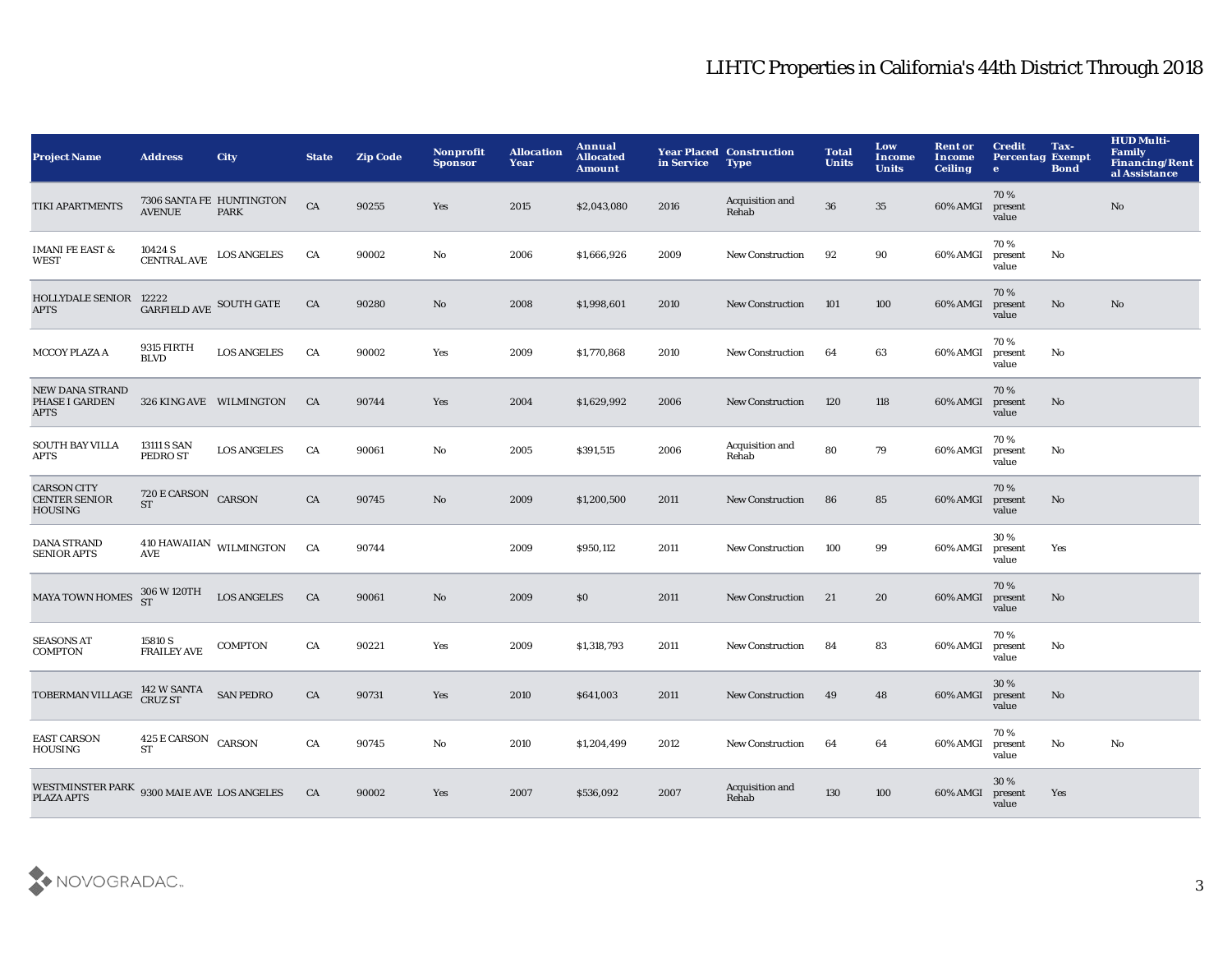| <b>Project Name</b>                                             | <b>Address</b>                           | <b>City</b>                             | <b>State</b> | <b>Zip Code</b> | Nonprofit<br><b>Sponsor</b> | <b>Allocation</b><br>Year | Annual<br><b>Allocated</b><br>Amount | in Service | <b>Year Placed Construction</b><br><b>Type</b> | <b>Total</b><br><b>Units</b> | Low<br>Income<br><b>Units</b> | <b>Rent or</b><br>Income<br><b>Ceiling</b> | <b>Credit</b><br><b>Percentag Exempt</b><br>$\bullet$ | Tax-<br><b>Bond</b> | <b>HUD Multi-</b><br><b>Family</b><br><b>Financing/Rent</b><br>al Assistance |
|-----------------------------------------------------------------|------------------------------------------|-----------------------------------------|--------------|-----------------|-----------------------------|---------------------------|--------------------------------------|------------|------------------------------------------------|------------------------------|-------------------------------|--------------------------------------------|-------------------------------------------------------|---------------------|------------------------------------------------------------------------------|
| <b>TIKI APARTMENTS</b>                                          | <b>AVENUE</b>                            | 7306 SANTA FE HUNTINGTON<br><b>PARK</b> | CA           | 90255           | Yes                         | 2015                      | \$2,043,080                          | 2016       | Acquisition and<br>Rehab                       | 36                           | 35                            | 60% AMGI                                   | 70%<br>present<br>value                               |                     | No                                                                           |
| <b>IMANI FE EAST &amp;</b><br><b>WEST</b>                       | 10424 S<br><b>CENTRAL AVE</b>            | <b>LOS ANGELES</b>                      | CA           | 90002           | No                          | 2006                      | \$1,666,926                          | 2009       | <b>New Construction</b>                        | 92                           | 90                            | 60% AMGI                                   | 70%<br>present<br>value                               | No                  |                                                                              |
| HOLLYDALE SENIOR 12222<br><b>APTS</b>                           | GARFIELD AVE SOUTH GATE                  |                                         | CA           | 90280           | No                          | 2008                      | \$1,998,601                          | 2010       | <b>New Construction</b>                        | 101                          | 100                           | 60% AMGI                                   | 70%<br>present<br>value                               | No                  | No                                                                           |
| <b>MCCOY PLAZA A</b>                                            | 9315 FIRTH<br><b>BLVD</b>                | <b>LOS ANGELES</b>                      | CA           | 90002           | Yes                         | 2009                      | \$1,770,868                          | 2010       | <b>New Construction</b>                        | 64                           | 63                            | 60% AMGI                                   | 70%<br>present<br>value                               | No                  |                                                                              |
| <b>NEW DANA STRAND</b><br>PHASE I GARDEN<br><b>APTS</b>         |                                          | 326 KING AVE WILMINGTON                 | CA           | 90744           | Yes                         | 2004                      | \$1,629,992                          | 2006       | <b>New Construction</b>                        | 120                          | 118                           | 60% AMGI                                   | 70%<br>present<br>value                               | No                  |                                                                              |
| <b>SOUTH BAY VILLA</b><br><b>APTS</b>                           | 13111 S SAN<br>PEDRO ST                  | <b>LOS ANGELES</b>                      | CA           | 90061           | No                          | 2005                      | \$391,515                            | 2006       | Acquisition and<br>Rehab                       | 80                           | 79                            | 60% AMGI                                   | 70%<br>present<br>value                               | No                  |                                                                              |
| <b>CARSON CITY</b><br><b>CENTER SENIOR</b><br>HOUSING           | 720 E CARSON CARSON<br><b>ST</b>         |                                         | CA           | 90745           | $\mathbf{N}\mathbf{o}$      | 2009                      | \$1,200,500                          | 2011       | <b>New Construction</b>                        | 86                           | 85                            | 60% AMGI                                   | 70%<br>present<br>value                               | No                  |                                                                              |
| <b>DANA STRAND</b><br><b>SENIOR APTS</b>                        | $410\,\mbox{HAWAIIAN}$ WILMINGTON<br>AVE |                                         | CA           | 90744           |                             | 2009                      | \$950,112                            | 2011       | <b>New Construction</b>                        | 100                          | 99                            | 60% AMGI                                   | 30%<br>present<br>value                               | Yes                 |                                                                              |
| <b>MAYA TOWN HOMES</b>                                          | 306 W 120TH<br>ST                        | <b>LOS ANGELES</b>                      | CA           | 90061           | No                          | 2009                      | \$0                                  | 2011       | <b>New Construction</b>                        | 21                           | 20                            | 60% AMGI                                   | 70%<br>present<br>value                               | No                  |                                                                              |
| <b>SEASONS AT</b><br><b>COMPTON</b>                             | 15810 S<br><b>FRAILEY AVE</b>            | <b>COMPTON</b>                          | CA           | 90221           | Yes                         | 2009                      | \$1,318,793                          | 2011       | <b>New Construction</b>                        | 84                           | 83                            | 60% AMGI                                   | 70%<br>present<br>value                               | No                  |                                                                              |
| TOBERMAN VILLAGE 142 W SANTA SAN PEDRO                          |                                          |                                         | CA           | 90731           | Yes                         | 2010                      | \$641,003                            | 2011       | <b>New Construction</b>                        | 49                           | 48                            | 60% AMGI                                   | 30 %<br>present<br>value                              | No                  |                                                                              |
| <b>EAST CARSON</b><br><b>HOUSING</b>                            | 425 E CARSON CARSON<br><b>ST</b>         |                                         | CA           | 90745           | No                          | 2010                      | \$1,204,499                          | 2012       | <b>New Construction</b>                        | 64                           | 64                            | 60% AMGI                                   | 70%<br>present<br>value                               | No                  | No                                                                           |
| WESTMINSTER PARK 9300 MAIE AVE LOS ANGELES<br><b>PLAZA APTS</b> |                                          |                                         | CA           | 90002           | Yes                         | 2007                      | \$536,092                            | 2007       | Acquisition and<br>Rehab                       | 130                          | 100                           | 60% AMGI                                   | 30 %<br>present<br>value                              | Yes                 |                                                                              |

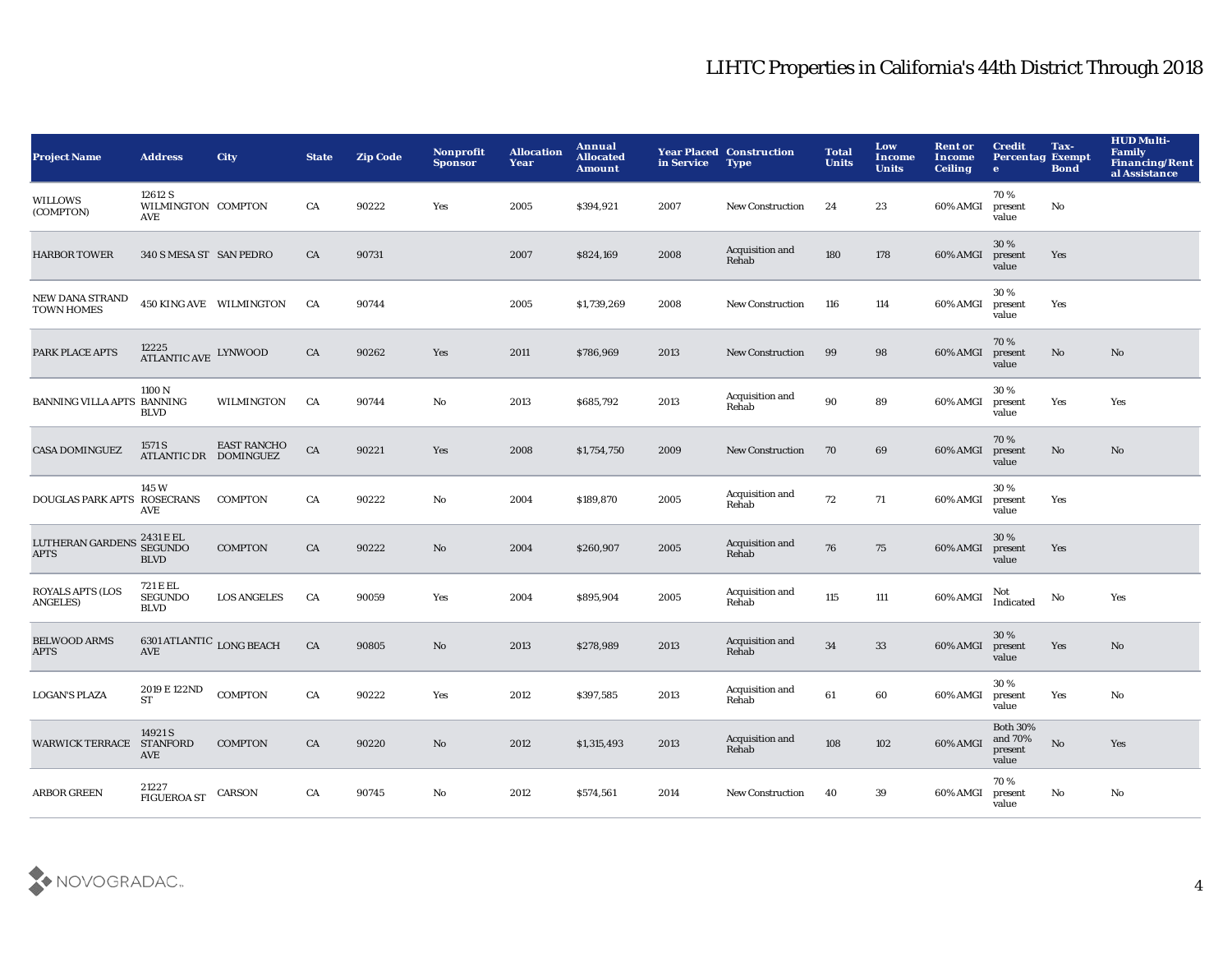| <b>Project Name</b>                        | <b>Address</b>                                                 | <b>City</b>             | <b>State</b> | <b>Zip Code</b> | <b>Nonprofit</b><br><b>Sponsor</b> | <b>Allocation</b><br>Year | Annual<br><b>Allocated</b><br><b>Amount</b> | in Service | <b>Year Placed Construction</b><br><b>Type</b> | <b>Total</b><br><b>Units</b> | Low<br>Income<br><b>Units</b> | <b>Rent or</b><br><b>Income</b><br><b>Ceiling</b> | <b>Credit</b><br><b>Percentag Exempt</b><br>$\bullet$ | Tax-<br><b>Bond</b> | <b>HUD Multi-</b><br>Family<br><b>Financing/Rent</b><br>al Assistance |
|--------------------------------------------|----------------------------------------------------------------|-------------------------|--------------|-----------------|------------------------------------|---------------------------|---------------------------------------------|------------|------------------------------------------------|------------------------------|-------------------------------|---------------------------------------------------|-------------------------------------------------------|---------------------|-----------------------------------------------------------------------|
| WILLOWS<br>(COMPTON)                       | 12612 S<br>WILMINGTON COMPTON<br>AVE                           |                         | CA           | 90222           | Yes                                | 2005                      | \$394,921                                   | 2007       | <b>New Construction</b>                        | 24                           | 23                            | 60% AMGI                                          | 70%<br>present<br>value                               | No                  |                                                                       |
| <b>HARBOR TOWER</b>                        | 340 S MESA ST SAN PEDRO                                        |                         | CA           | 90731           |                                    | 2007                      | \$824,169                                   | 2008       | Acquisition and<br>Rehab                       | 180                          | 178                           | 60% AMGI                                          | 30 %<br>present<br>value                              | Yes                 |                                                                       |
| NEW DANA STRAND<br><b>TOWN HOMES</b>       |                                                                | 450 KING AVE WILMINGTON | CA           | 90744           |                                    | 2005                      | \$1,739,269                                 | 2008       | <b>New Construction</b>                        | 116                          | 114                           | 60% AMGI                                          | 30%<br>present<br>value                               | Yes                 |                                                                       |
| PARK PLACE APTS                            | $12225$ ATLANTIC AVE LYNWOOD                                   |                         | CA           | 90262           | Yes                                | 2011                      | \$786,969                                   | 2013       | <b>New Construction</b>                        | 99                           | 98                            | 60% AMGI                                          | 70%<br>present<br>value                               | No                  | No                                                                    |
| BANNING VILLA APTS BANNING                 | 1100 <sub>N</sub><br><b>BLVD</b>                               | WILMINGTON              | CA           | 90744           | $\mathbf{No}$                      | 2013                      | \$685,792                                   | 2013       | Acquisition and<br>Rehab                       | 90                           | 89                            | 60% AMGI                                          | 30%<br>present<br>value                               | Yes                 | Yes                                                                   |
| <b>CASA DOMINGUEZ</b>                      | 1571 S<br>ATLANTIC DR DOMINGUEZ                                | <b>EAST RANCHO</b>      | ${\rm CA}$   | 90221           | Yes                                | 2008                      | \$1,754,750                                 | 2009       | <b>New Construction</b>                        | 70                           | 69                            | 60% AMGI                                          | 70%<br>present<br>value                               | $\mathbf{No}$       | No                                                                    |
| DOUGLAS PARK APTS ROSECRANS                | 145 W<br>AVE                                                   | <b>COMPTON</b>          | CA           | 90222           | No                                 | 2004                      | \$189,870                                   | 2005       | Acquisition and<br>Rehab                       | 72                           | 71                            | 60% AMGI                                          | 30%<br>present<br>value                               | Yes                 |                                                                       |
| LUTHERAN GARDENS 2431 E EL<br><b>APTS</b>  | <b>SEGUNDO</b><br><b>BLVD</b>                                  | <b>COMPTON</b>          | CA           | 90222           | $\mathbf{No}$                      | 2004                      | \$260,907                                   | 2005       | Acquisition and<br>Rehab                       | 76                           | 75                            | 60% AMGI                                          | 30%<br>present<br>value                               | Yes                 |                                                                       |
| <b>ROYALS APTS (LOS</b><br><b>ANGELES)</b> | 721 E EL<br><b>SEGUNDO</b><br><b>BLVD</b>                      | <b>LOS ANGELES</b>      | CA           | 90059           | Yes                                | 2004                      | \$895,904                                   | 2005       | Acquisition and<br>Rehab                       | 115                          | 111                           | 60% AMGI                                          | Not<br>Indicated                                      | No                  | Yes                                                                   |
| <b>BELWOOD ARMS</b><br><b>APTS</b>         | $6301\,\mathrm{ATLANTIC}$ $_{\rm{LONG\, BEACH}}$<br><b>AVE</b> |                         | CA           | 90805           | $\mathbf {No}$                     | 2013                      | \$278,989                                   | 2013       | Acquisition and<br>Rehab                       | 34                           | 33                            | 60% AMGI                                          | 30 %<br>present<br>value                              | Yes                 | $\mathbf{N}\mathbf{o}$                                                |
| <b>LOGAN'S PLAZA</b>                       | 2019 E 122ND<br><b>ST</b>                                      | <b>COMPTON</b>          | CA           | 90222           | Yes                                | 2012                      | \$397,585                                   | 2013       | Acquisition and<br>Rehab                       | 61                           | 60                            | 60% AMGI                                          | 30%<br>present<br>value                               | Yes                 | No                                                                    |
| <b>WARWICK TERRACE</b>                     | 14921 S<br><b>STANFORD</b><br>AVE                              | <b>COMPTON</b>          | CA           | 90220           | No                                 | 2012                      | \$1,315,493                                 | 2013       | Acquisition and<br>Rehab                       | 108                          | 102                           | 60% AMGI                                          | <b>Both 30%</b><br>and 70%<br>present<br>value        | No                  | Yes                                                                   |
| <b>ARBOR GREEN</b>                         | 21227<br><b>FIGUEROA ST</b>                                    | <b>CARSON</b>           | CA           | 90745           | No                                 | 2012                      | \$574,561                                   | 2014       | <b>New Construction</b>                        | 40                           | 39                            | 60% AMGI                                          | 70%<br>present<br>value                               | No                  | No                                                                    |

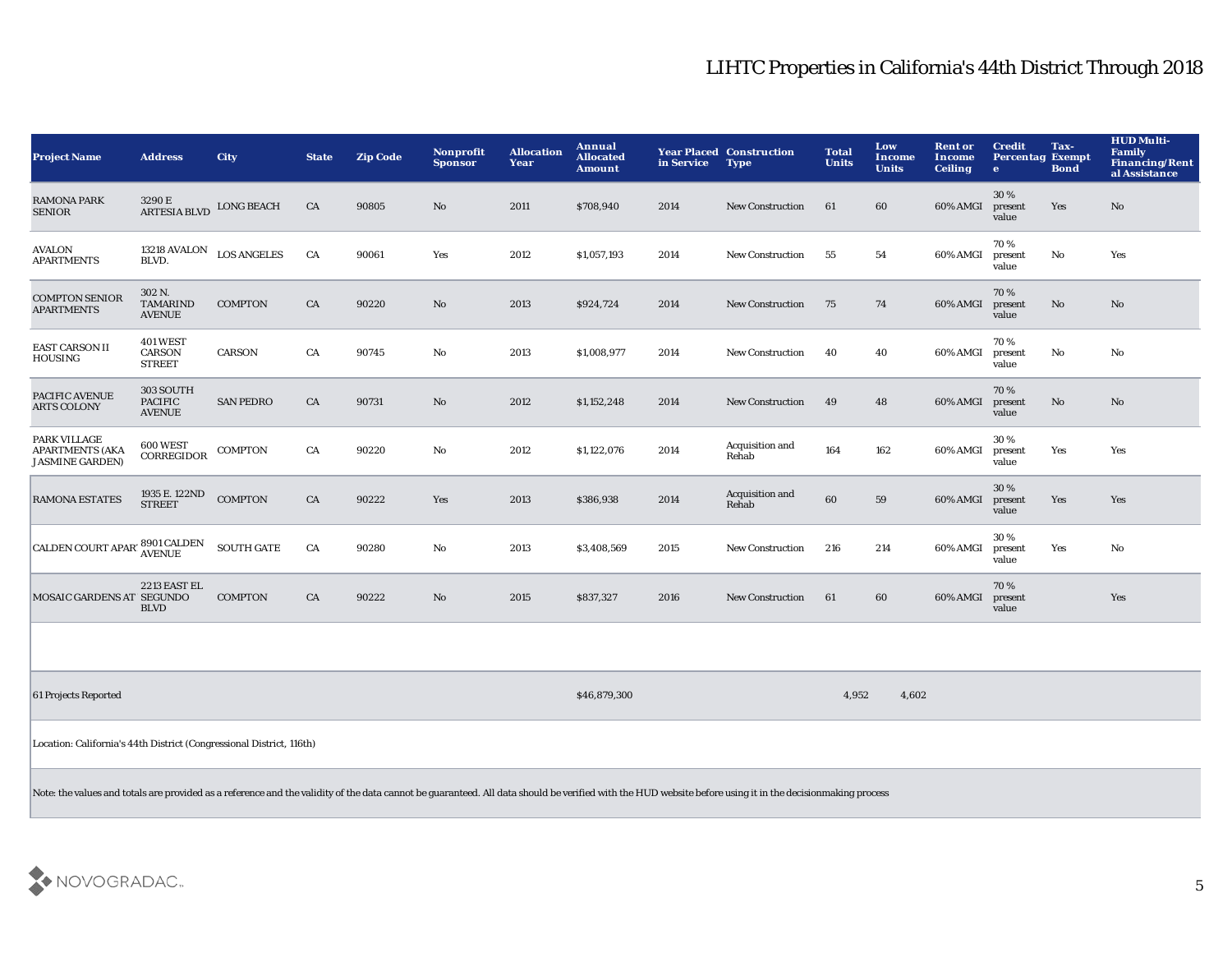| <b>Project Name</b>                                                                                                                                                                                       | <b>Address</b>                               | <b>City</b>        | <b>State</b> | <b>Zip Code</b> | Nonprofit<br><b>Sponsor</b> | <b>Allocation</b><br>Year | Annual<br><b>Allocated</b><br><b>Amount</b> | in Service | <b>Year Placed Construction</b><br><b>Type</b> | <b>Total</b><br><b>Units</b> | Low<br>Income<br><b>Units</b> | <b>Rent or</b><br><b>Income</b><br><b>Ceiling</b> | <b>Credit</b><br><b>Percentag Exempt</b><br>$\bullet$ | Tax-<br><b>Bond</b> | <b>HUD Multi-</b><br>Family<br><b>Financing/Rent</b><br>al Assistance |
|-----------------------------------------------------------------------------------------------------------------------------------------------------------------------------------------------------------|----------------------------------------------|--------------------|--------------|-----------------|-----------------------------|---------------------------|---------------------------------------------|------------|------------------------------------------------|------------------------------|-------------------------------|---------------------------------------------------|-------------------------------------------------------|---------------------|-----------------------------------------------------------------------|
| <b>RAMONA PARK</b><br><b>SENIOR</b>                                                                                                                                                                       | 3290 E<br><b>ARTESIA BLVD</b>                | <b>LONG BEACH</b>  | CA           | 90805           | No                          | 2011                      | \$708,940                                   | 2014       | <b>New Construction</b>                        | 61                           | 60                            | 60% AMGI                                          | 30%<br>present<br>value                               | Yes                 | $\mathbf{N}\mathbf{o}$                                                |
| <b>AVALON</b><br><b>APARTMENTS</b>                                                                                                                                                                        | 13218 AVALON<br>BLVD.                        | <b>LOS ANGELES</b> | CA           | 90061           | Yes                         | 2012                      | \$1,057,193                                 | 2014       | <b>New Construction</b>                        | 55                           | 54                            | 60% AMGI                                          | 70%<br>present<br>value                               | $\mathbf {No}$      | Yes                                                                   |
| <b>COMPTON SENIOR</b><br><b>APARTMENTS</b>                                                                                                                                                                | 302 N.<br><b>TAMARIND</b><br><b>AVENUE</b>   | <b>COMPTON</b>     | CA           | 90220           | No                          | 2013                      | \$924,724                                   | 2014       | <b>New Construction</b>                        | 75                           | 74                            | 60% AMGI                                          | 70%<br>present<br>value                               | No                  | $\mathbf{N}\mathbf{o}$                                                |
| <b>EAST CARSON II</b><br><b>HOUSING</b>                                                                                                                                                                   | 401 WEST<br>CARSON<br><b>STREET</b>          | CARSON             | CA           | 90745           | $\mathbf{No}$               | 2013                      | \$1,008,977                                 | 2014       | New Construction                               | 40                           | 40                            | 60% AMGI                                          | 70%<br>present<br>value                               | No                  | No                                                                    |
| PACIFIC AVENUE<br><b>ARTS COLONY</b>                                                                                                                                                                      | 303 SOUTH<br><b>PACIFIC</b><br><b>AVENUE</b> | <b>SAN PEDRO</b>   | ${\rm CA}$   | 90731           | No                          | 2012                      | \$1,152,248                                 | 2014       | New Construction                               | 49                           | 48                            | 60% AMGI                                          | 70%<br>present<br>value                               | $\mathbf{No}$       | $\mathbf{N}\mathbf{o}$                                                |
| PARK VILLAGE<br><b>APARTMENTS (AKA</b><br><b>JASMINE GARDEN)</b>                                                                                                                                          | 600 WEST<br>CORREGIDOR                       | <b>COMPTON</b>     | CA           | 90220           | $\mathbf {No}$              | 2012                      | \$1,122,076                                 | 2014       | Acquisition and<br>Rehab                       | 164                          | 162                           | 60% AMGI                                          | 30%<br>present<br>value                               | Yes                 | Yes                                                                   |
| <b>RAMONA ESTATES</b>                                                                                                                                                                                     | 1935 E. 122ND<br><b>STREET</b>               | <b>COMPTON</b>     | CA           | 90222           | Yes                         | 2013                      | \$386,938                                   | 2014       | Acquisition and<br>Rehab                       | 60                           | 59                            | 60% AMGI                                          | 30%<br>present<br>value                               | Yes                 | Yes                                                                   |
| <b>CALDEN COURT APAR</b>                                                                                                                                                                                  | 8901 CALDEN<br>AVENUE                        | <b>SOUTH GATE</b>  | ${\rm CA}$   | 90280           | $\mathbf{No}$               | 2013                      | \$3,408,569                                 | 2015       | New Construction                               | 216                          | 214                           | 60% AMGI                                          | 30 %<br>present<br>value                              | Yes                 | $\mathbf{No}$                                                         |
| MOSAIC GARDENS AT SEGUNDO                                                                                                                                                                                 | 2213 EAST EL<br><b>BLVD</b>                  | <b>COMPTON</b>     | ${\rm CA}$   | 90222           | $\mathbf{N}\mathbf{o}$      | 2015                      | \$837,327                                   | 2016       | <b>New Construction</b>                        | 61                           | 60                            | 60% AMGI                                          | 70%<br>present<br>value                               |                     | Yes                                                                   |
|                                                                                                                                                                                                           |                                              |                    |              |                 |                             |                           |                                             |            |                                                |                              |                               |                                                   |                                                       |                     |                                                                       |
| 61 Projects Reported                                                                                                                                                                                      |                                              |                    |              |                 |                             |                           | \$46,879,300                                |            |                                                | 4,952                        | 4,602                         |                                                   |                                                       |                     |                                                                       |
| Location: California's 44th District (Congressional District, 116th)                                                                                                                                      |                                              |                    |              |                 |                             |                           |                                             |            |                                                |                              |                               |                                                   |                                                       |                     |                                                                       |
| Note: the values and totals are provided as a reference and the validity of the data cannot be guaranteed. All data should be verified with the HUD website before using it in the decisionmaking process |                                              |                    |              |                 |                             |                           |                                             |            |                                                |                              |                               |                                                   |                                                       |                     |                                                                       |